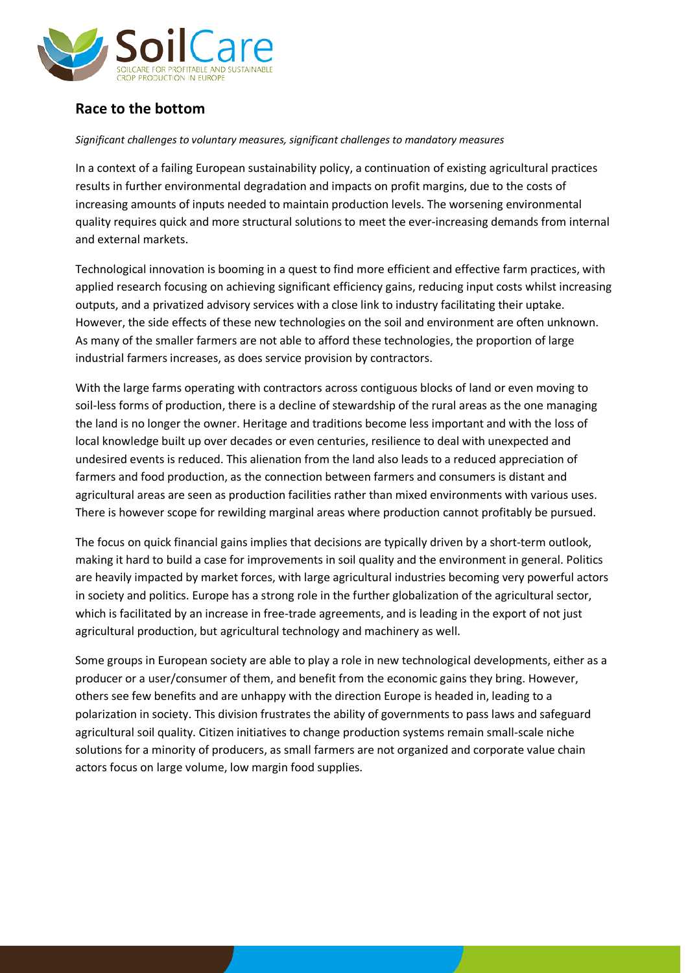

## **Race to the bottom**

## *Significant challenges to voluntary measures, significant challenges to mandatory measures*

In a context of a failing European sustainability policy, a continuation of existing agricultural practices results in further environmental degradation and impacts on profit margins, due to the costs of increasing amounts of inputs needed to maintain production levels. The worsening environmental quality requires quick and more structural solutions to meet the ever-increasing demands from internal and external markets.

Technological innovation is booming in a quest to find more efficient and effective farm practices, with applied research focusing on achieving significant efficiency gains, reducing input costs whilst increasing outputs, and a privatized advisory services with a close link to industry facilitating their uptake. However, the side effects of these new technologies on the soil and environment are often unknown. As many of the smaller farmers are not able to afford these technologies, the proportion of large industrial farmers increases, as does service provision by contractors.

With the large farms operating with contractors across contiguous blocks of land or even moving to soil-less forms of production, there is a decline of stewardship of the rural areas as the one managing the land is no longer the owner. Heritage and traditions become less important and with the loss of local knowledge built up over decades or even centuries, resilience to deal with unexpected and undesired events is reduced. This alienation from the land also leads to a reduced appreciation of farmers and food production, as the connection between farmers and consumers is distant and agricultural areas are seen as production facilities rather than mixed environments with various uses. There is however scope for rewilding marginal areas where production cannot profitably be pursued.

The focus on quick financial gains implies that decisions are typically driven by a short-term outlook, making it hard to build a case for improvements in soil quality and the environment in general. Politics are heavily impacted by market forces, with large agricultural industries becoming very powerful actors in society and politics. Europe has a strong role in the further globalization of the agricultural sector, which is facilitated by an increase in free-trade agreements, and is leading in the export of not just agricultural production, but agricultural technology and machinery as well.

Some groups in European society are able to play a role in new technological developments, either as a producer or a user/consumer of them, and benefit from the economic gains they bring. However, others see few benefits and are unhappy with the direction Europe is headed in, leading to a polarization in society. This division frustrates the ability of governments to pass laws and safeguard agricultural soil quality. Citizen initiatives to change production systems remain small-scale niche solutions for a minority of producers, as small farmers are not organized and corporate value chain actors focus on large volume, low margin food supplies.